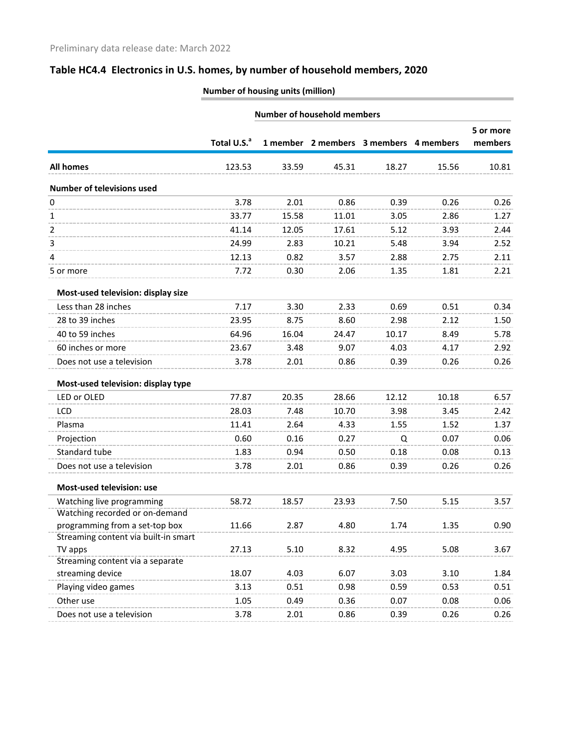|                                      | <b>Number of household members</b> |       |                                        |       |       |                      |
|--------------------------------------|------------------------------------|-------|----------------------------------------|-------|-------|----------------------|
|                                      | Total U.S. <sup>a</sup>            |       | 1 member 2 members 3 members 4 members |       |       | 5 or more<br>members |
| <b>All homes</b>                     | 123.53                             | 33.59 | 45.31                                  | 18.27 | 15.56 | 10.81                |
| Number of televisions used           |                                    |       |                                        |       |       |                      |
| 0                                    | 3.78                               | 2.01  | 0.86                                   | 0.39  | 0.26  | 0.26                 |
| 1                                    | 33.77                              | 15.58 | 11.01                                  | 3.05  | 2.86  | 1.27                 |
| 2                                    | 41.14                              | 12.05 | 17.61                                  | 5.12  | 3.93  | 2.44                 |
| 3                                    | 24.99                              | 2.83  | 10.21                                  | 5.48  | 3.94  | 2.52                 |
| 4                                    | 12.13                              | 0.82  | 3.57                                   | 2.88  | 2.75  | 2.11                 |
| 5 or more                            | 7.72                               | 0.30  | 2.06                                   | 1.35  | 1.81  | 2.21                 |
| Most-used television: display size   |                                    |       |                                        |       |       |                      |
| Less than 28 inches                  | 7.17                               | 3.30  | 2.33                                   | 0.69  | 0.51  | 0.34                 |
| 28 to 39 inches                      | 23.95                              | 8.75  | 8.60                                   | 2.98  | 2.12  | 1.50                 |
| 40 to 59 inches                      | 64.96                              | 16.04 | 24.47                                  | 10.17 | 8.49  | 5.78                 |
| 60 inches or more                    | 23.67                              | 3.48  | 9.07                                   | 4.03  | 4.17  | 2.92                 |
| Does not use a television            | 3.78                               | 2.01  | 0.86                                   | 0.39  | 0.26  | 0.26                 |
| Most-used television: display type   |                                    |       |                                        |       |       |                      |
| LED or OLED                          | 77.87                              | 20.35 | 28.66                                  | 12.12 | 10.18 | 6.57                 |
| <b>LCD</b>                           | 28.03                              | 7.48  | 10.70                                  | 3.98  | 3.45  | 2.42                 |
| Plasma                               | 11.41                              | 2.64  | 4.33                                   | 1.55  | 1.52  | 1.37                 |
| Projection                           | 0.60                               | 0.16  | 0.27                                   | Q     | 0.07  | 0.06                 |
| Standard tube                        | 1.83                               | 0.94  | 0.50                                   | 0.18  | 0.08  | 0.13                 |
| Does not use a television            | 3.78                               | 2.01  | 0.86                                   | 0.39  | 0.26  | 0.26                 |
| Most-used television: use            |                                    |       |                                        |       |       |                      |
| Watching live programming            | 58.72                              | 18.57 | 23.93                                  | 7.50  | 5.15  | 3.57                 |
| Watching recorded or on-demand       |                                    |       |                                        |       |       |                      |
| programming from a set-top box       | 11.66                              | 2.87  | 4.80                                   | 1.74  | 1.35  | 0.90                 |
| Streaming content via built-in smart |                                    |       |                                        |       |       |                      |
| TV apps                              | 27.13                              | 5.10  | 8.32                                   | 4.95  | 5.08  | 3.67                 |
| Streaming content via a separate     | 18.07                              | 4.03  | 6.07                                   |       | 3.10  |                      |
| streaming device                     |                                    |       |                                        | 3.03  |       | 1.84                 |
| Playing video games                  | 3.13                               | 0.51  | 0.98                                   | 0.59  | 0.53  | 0.51                 |
| Other use                            | 1.05                               | 0.49  | 0.36                                   | 0.07  | 0.08  | 0.06                 |
| Does not use a television            | 3.78                               | 2.01  | 0.86                                   | 0.39  | 0.26  | 0.26                 |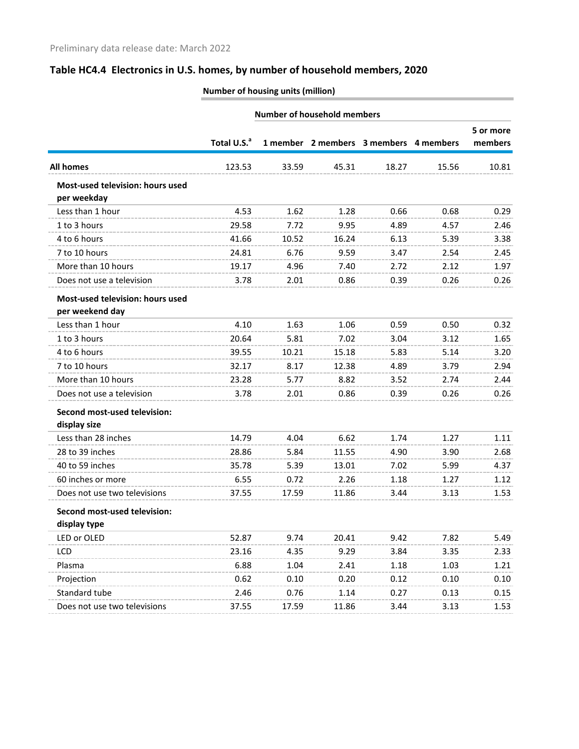|                                                     |                         |       | <b>Number of household members</b>     |       |       |                      |
|-----------------------------------------------------|-------------------------|-------|----------------------------------------|-------|-------|----------------------|
|                                                     | Total U.S. <sup>a</sup> |       | 1 member 2 members 3 members 4 members |       |       | 5 or more<br>members |
| <b>All homes</b>                                    | 123.53                  | 33.59 | 45.31                                  | 18.27 | 15.56 | 10.81                |
| Most-used television: hours used<br>per weekday     |                         |       |                                        |       |       |                      |
| Less than 1 hour                                    | 4.53                    | 1.62  | 1.28                                   | 0.66  | 0.68  | 0.29                 |
| 1 to 3 hours                                        | 29.58                   | 7.72  | 9.95                                   | 4.89  | 4.57  | 2.46                 |
| 4 to 6 hours                                        | 41.66                   | 10.52 | 16.24                                  | 6.13  | 5.39  | 3.38                 |
| 7 to 10 hours                                       | 24.81                   | 6.76  | 9.59                                   | 3.47  | 2.54  | 2.45                 |
| More than 10 hours                                  | 19.17                   | 4.96  | 7.40                                   | 2.72  | 2.12  | 1.97                 |
| Does not use a television                           | 3.78                    | 2.01  | 0.86                                   | 0.39  | 0.26  | 0.26                 |
| Most-used television: hours used<br>per weekend day |                         |       |                                        |       |       |                      |
| Less than 1 hour                                    | 4.10                    | 1.63  | 1.06                                   | 0.59  | 0.50  | 0.32                 |
| 1 to 3 hours                                        | 20.64                   | 5.81  | 7.02                                   | 3.04  | 3.12  | 1.65                 |
| 4 to 6 hours                                        | 39.55                   | 10.21 | 15.18                                  | 5.83  | 5.14  | 3.20                 |
| 7 to 10 hours                                       | 32.17                   | 8.17  | 12.38                                  | 4.89  | 3.79  | 2.94                 |
| More than 10 hours                                  | 23.28                   | 5.77  | 8.82                                   | 3.52  | 2.74  | 2.44                 |
| Does not use a television                           | 3.78                    | 2.01  | 0.86                                   | 0.39  | 0.26  | 0.26                 |
| Second most-used television:<br>display size        |                         |       |                                        |       |       |                      |
| Less than 28 inches                                 | 14.79                   | 4.04  | 6.62                                   | 1.74  | 1.27  | 1.11                 |
| 28 to 39 inches                                     | 28.86                   | 5.84  | 11.55                                  | 4.90  | 3.90  | 2.68                 |
| 40 to 59 inches                                     | 35.78                   | 5.39  | 13.01                                  | 7.02  | 5.99  | 4.37                 |
| 60 inches or more                                   | 6.55                    | 0.72  | 2.26                                   | 1.18  | 1.27  | 1.12                 |
| Does not use two televisions                        | 37.55                   | 17.59 | 11.86                                  | 3.44  | 3.13  | 1.53                 |
| Second most-used television:<br>display type        |                         |       |                                        |       |       |                      |
| LED or OLED                                         | 52.87                   | 9.74  | 20.41                                  | 9.42  | 7.82  | 5.49                 |
| <b>LCD</b>                                          | 23.16                   | 4.35  | 9.29                                   | 3.84  | 3.35  | 2.33                 |
| Plasma                                              | 6.88                    | 1.04  | 2.41                                   | 1.18  | 1.03  | 1.21                 |
| Projection                                          | 0.62                    | 0.10  | 0.20                                   | 0.12  | 0.10  | 0.10                 |
| Standard tube                                       | 2.46                    | 0.76  | 1.14                                   | 0.27  | 0.13  | 0.15                 |
| Does not use two televisions                        | 37.55                   | 17.59 | 11.86                                  | 3.44  | 3.13  | 1.53                 |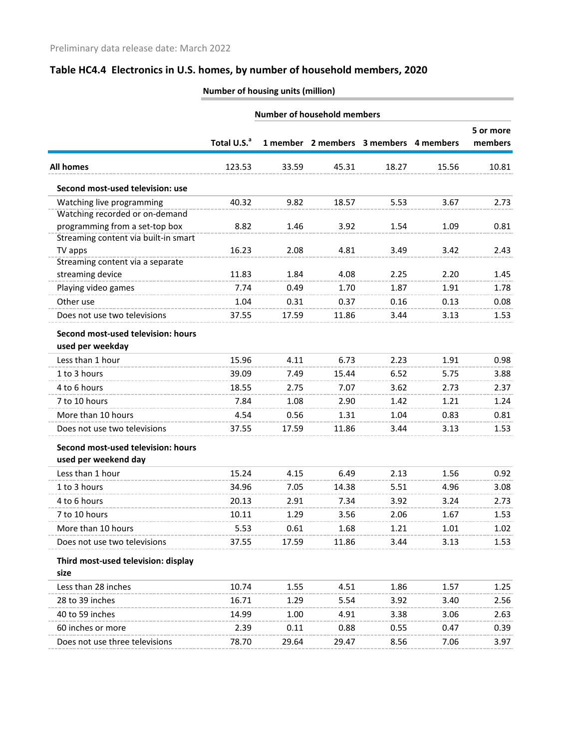|                                      |                         |       | <b>Number of household members</b> |                                        |       |                      |
|--------------------------------------|-------------------------|-------|------------------------------------|----------------------------------------|-------|----------------------|
|                                      | Total U.S. <sup>a</sup> |       |                                    | 1 member 2 members 3 members 4 members |       | 5 or more<br>members |
| <b>All homes</b>                     | 123.53                  | 33.59 | 45.31                              | 18.27                                  | 15.56 | 10.81                |
| Second most-used television: use     |                         |       |                                    |                                        |       |                      |
| Watching live programming            | 40.32                   | 9.82  | 18.57                              | 5.53                                   | 3.67  | 2.73                 |
| Watching recorded or on-demand       |                         |       |                                    |                                        |       |                      |
| programming from a set-top box       | 8.82                    | 1.46  | 3.92                               | 1.54                                   | 1.09  | 0.81                 |
| Streaming content via built-in smart |                         |       |                                    |                                        |       |                      |
| TV apps                              | 16.23                   | 2.08  | 4.81                               | 3.49                                   | 3.42  | 2.43                 |
| Streaming content via a separate     |                         |       |                                    |                                        |       |                      |
| streaming device                     | 11.83                   | 1.84  | 4.08                               | 2.25                                   | 2.20  | 1.45                 |
| Playing video games                  | 7.74                    | 0.49  | 1.70                               | 1.87                                   | 1.91  | 1.78                 |
| Other use                            | 1.04                    | 0.31  | 0.37                               | 0.16                                   | 0.13  | 0.08                 |
| Does not use two televisions         | 37.55                   | 17.59 | 11.86                              | 3.44                                   | 3.13  | 1.53                 |
| Second most-used television: hours   |                         |       |                                    |                                        |       |                      |
| used per weekday                     |                         |       |                                    |                                        |       |                      |
| Less than 1 hour                     | 15.96                   | 4.11  | 6.73                               | 2.23                                   | 1.91  | 0.98                 |
| 1 to 3 hours                         | 39.09                   | 7.49  | 15.44                              | 6.52                                   | 5.75  | 3.88                 |
| 4 to 6 hours                         | 18.55                   | 2.75  | 7.07                               | 3.62                                   | 2.73  | 2.37                 |
| 7 to 10 hours                        | 7.84                    | 1.08  | 2.90                               | 1.42                                   | 1.21  | 1.24                 |
| More than 10 hours                   | 4.54                    | 0.56  | 1.31                               | 1.04                                   | 0.83  | 0.81                 |
| Does not use two televisions         | 37.55                   | 17.59 | 11.86                              | 3.44                                   | 3.13  | 1.53                 |
| Second most-used television: hours   |                         |       |                                    |                                        |       |                      |
| used per weekend day                 |                         |       |                                    |                                        |       |                      |
| Less than 1 hour                     | 15.24                   | 4.15  | 6.49                               | 2.13                                   | 1.56  | 0.92                 |
| 1 to 3 hours                         | 34.96                   | 7.05  | 14.38                              | 5.51                                   | 4.96  | 3.08                 |
| 4 to 6 hours                         | 20.13                   | 2.91  | 7.34                               | 3.92                                   | 3.24  | 2.73                 |
| 7 to 10 hours                        | 10.11                   | 1.29  | 3.56                               | 2.06                                   | 1.67  | 1.53                 |
| More than 10 hours                   | 5.53                    | 0.61  | 1.68                               | 1.21                                   | 1.01  | 1.02                 |
| Does not use two televisions         | 37.55                   | 17.59 | 11.86                              | 3.44                                   | 3.13  | 1.53                 |
| Third most-used television: display  |                         |       |                                    |                                        |       |                      |
| size                                 |                         |       |                                    |                                        |       |                      |
| Less than 28 inches                  | 10.74                   | 1.55  | 4.51                               | 1.86                                   | 1.57  | 1.25                 |
|                                      |                         |       |                                    |                                        |       |                      |
| 28 to 39 inches                      | 16.71                   | 1.29  | 5.54                               | 3.92                                   | 3.40  | 2.56                 |
| 40 to 59 inches                      | 14.99                   | 1.00  | 4.91                               | 3.38                                   | 3.06  | 2.63                 |
| 60 inches or more                    | 2.39                    | 0.11  | 0.88                               | 0.55                                   | 0.47  | 0.39                 |
| Does not use three televisions       | 78.70                   | 29.64 | 29.47                              | 8.56                                   | 7.06  | 3.97                 |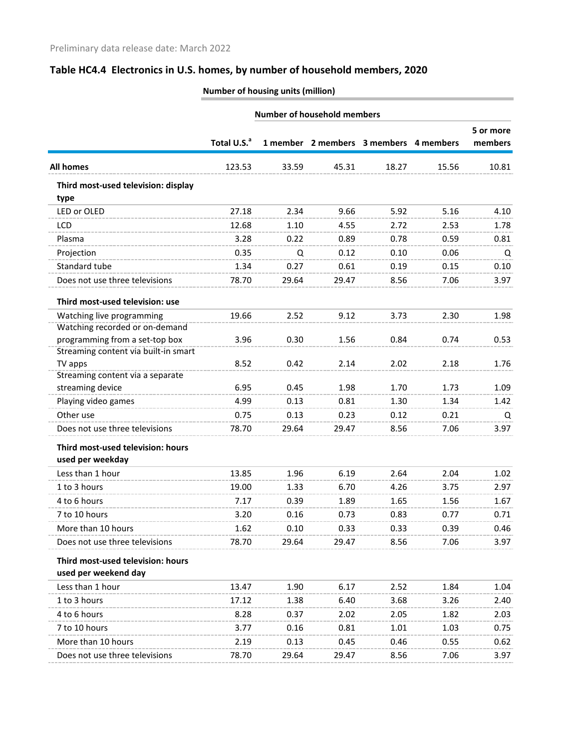|                                             | <b>Number of household members</b> |       |       |                                        |       |                      |
|---------------------------------------------|------------------------------------|-------|-------|----------------------------------------|-------|----------------------|
|                                             | Total U.S. <sup>a</sup>            |       |       | 1 member 2 members 3 members 4 members |       | 5 or more<br>members |
| <b>All homes</b>                            | 123.53                             | 33.59 | 45.31 | 18.27                                  | 15.56 | 10.81                |
| Third most-used television: display<br>type |                                    |       |       |                                        |       |                      |
| LED or OLED                                 | 27.18                              | 2.34  | 9.66  | 5.92                                   | 5.16  | 4.10                 |
| LCD                                         | 12.68                              | 1.10  | 4.55  | 2.72                                   | 2.53  | 1.78                 |
| Plasma                                      | 3.28                               | 0.22  | 0.89  | 0.78                                   | 0.59  | 0.81                 |
| Projection                                  | 0.35                               | Q     | 0.12  | 0.10                                   | 0.06  | Q                    |
| Standard tube                               | 1.34                               | 0.27  | 0.61  | 0.19                                   | 0.15  | 0.10                 |
| Does not use three televisions              | 78.70                              | 29.64 | 29.47 | 8.56                                   | 7.06  | 3.97                 |
| Third most-used television: use             |                                    |       |       |                                        |       |                      |
| Watching live programming                   | 19.66                              | 2.52  | 9.12  | 3.73                                   | 2.30  | 1.98                 |
| Watching recorded or on-demand              |                                    |       |       |                                        |       |                      |
| programming from a set-top box              | 3.96                               | 0.30  | 1.56  | 0.84                                   | 0.74  | 0.53                 |
| Streaming content via built-in smart        |                                    |       |       |                                        |       |                      |
| TV apps<br>Streaming content via a separate | 8.52                               | 0.42  | 2.14  | 2.02                                   | 2.18  | 1.76                 |
| streaming device                            | 6.95                               | 0.45  | 1.98  | 1.70                                   | 1.73  | 1.09                 |
| Playing video games                         | 4.99                               | 0.13  | 0.81  | 1.30                                   | 1.34  | 1.42                 |
| Other use                                   | 0.75                               | 0.13  | 0.23  | 0.12                                   | 0.21  | Q                    |
| Does not use three televisions              | 78.70                              | 29.64 | 29.47 | 8.56                                   | 7.06  | 3.97                 |
| Third most-used television: hours           |                                    |       |       |                                        |       |                      |
| used per weekday                            |                                    |       |       |                                        |       |                      |
| Less than 1 hour                            | 13.85                              | 1.96  | 6.19  | 2.64                                   | 2.04  | 1.02                 |
| 1 to 3 hours                                | 19.00                              | 1.33  | 6.70  | 4.26                                   | 3.75  | 2.97                 |
| 4 to 6 hours                                | 7.17                               | 0.39  | 1.89  | 1.65                                   | 1.56  | 1.67                 |
| 7 to 10 hours                               | 3.20                               | 0.16  | 0.73  | 0.83                                   | 0.77  | 0.71                 |
| More than 10 hours                          | 1.62                               | 0.10  | 0.33  | 0.33                                   | 0.39  | 0.46                 |
| Does not use three televisions              | 78.70                              | 29.64 | 29.47 | 8.56                                   | 7.06  | 3.97                 |
| Third most-used television: hours           |                                    |       |       |                                        |       |                      |
| used per weekend day                        |                                    |       |       |                                        |       |                      |
| Less than 1 hour                            | 13.47                              | 1.90  | 6.17  | 2.52                                   | 1.84  | 1.04                 |
| 1 to 3 hours                                | 17.12                              | 1.38  | 6.40  | 3.68                                   | 3.26  | 2.40                 |
| 4 to 6 hours                                | 8.28                               | 0.37  | 2.02  | 2.05                                   | 1.82  | 2.03                 |
| 7 to 10 hours                               | 3.77                               | 0.16  | 0.81  | 1.01                                   | 1.03  | 0.75                 |
| More than 10 hours                          | 2.19                               | 0.13  | 0.45  | 0.46                                   | 0.55  | 0.62                 |
| Does not use three televisions              | 78.70                              | 29.64 | 29.47 | 8.56                                   | 7.06  | 3.97                 |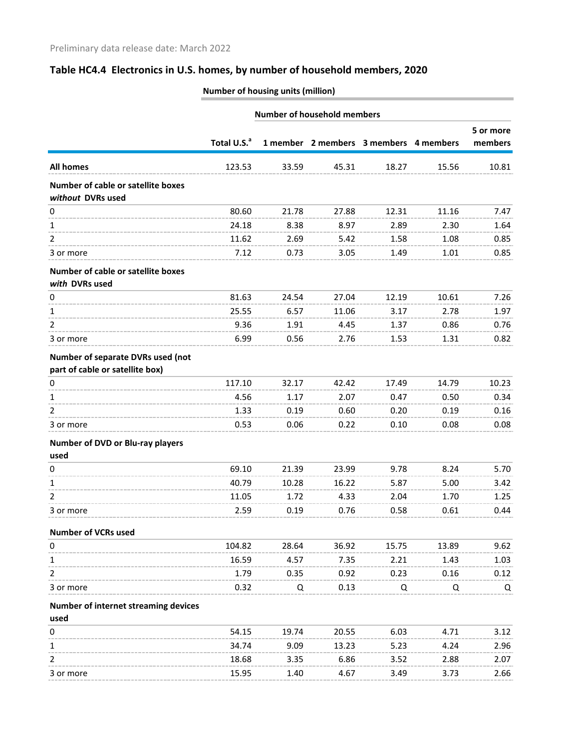|                                                                      |                         |       | <b>Number of household members</b> |                                        |       |           |
|----------------------------------------------------------------------|-------------------------|-------|------------------------------------|----------------------------------------|-------|-----------|
|                                                                      |                         |       |                                    |                                        |       | 5 or more |
|                                                                      | Total U.S. <sup>a</sup> |       |                                    | 1 member 2 members 3 members 4 members |       | members   |
| <b>All homes</b>                                                     | 123.53                  | 33.59 | 45.31                              | 18.27                                  | 15.56 | 10.81     |
| Number of cable or satellite boxes<br>without DVRs used              |                         |       |                                    |                                        |       |           |
| 0                                                                    | 80.60                   | 21.78 | 27.88                              | 12.31                                  | 11.16 | 7.47      |
| 1                                                                    | 24.18                   | 8.38  | 8.97                               | 2.89                                   | 2.30  | 1.64      |
| 2                                                                    | 11.62                   | 2.69  | 5.42                               | 1.58                                   | 1.08  | 0.85      |
| 3 or more                                                            | 7.12                    | 0.73  | 3.05                               | 1.49                                   | 1.01  | 0.85      |
| Number of cable or satellite boxes<br>with DVRs used                 |                         |       |                                    |                                        |       |           |
| 0                                                                    | 81.63                   | 24.54 | 27.04                              | 12.19                                  | 10.61 | 7.26      |
| 1                                                                    | 25.55                   | 6.57  | 11.06                              | 3.17                                   | 2.78  | 1.97      |
| 2                                                                    | 9.36                    | 1.91  | 4.45                               | 1.37                                   | 0.86  | 0.76      |
| 3 or more                                                            | 6.99                    | 0.56  | 2.76                               | 1.53                                   | 1.31  | 0.82      |
| Number of separate DVRs used (not<br>part of cable or satellite box) |                         |       |                                    |                                        |       |           |
| 0                                                                    | 117.10                  | 32.17 | 42.42                              | 17.49                                  | 14.79 | 10.23     |
| 1                                                                    | 4.56                    | 1.17  | 2.07                               | 0.47                                   | 0.50  | 0.34      |
| 2                                                                    | 1.33                    | 0.19  | 0.60                               | 0.20                                   | 0.19  | 0.16      |
| 3 or more                                                            | 0.53                    | 0.06  | 0.22                               | 0.10                                   | 0.08  | 0.08      |
| Number of DVD or Blu-ray players<br>used                             |                         |       |                                    |                                        |       |           |
| 0                                                                    | 69.10                   | 21.39 | 23.99                              | 9.78                                   | 8.24  | 5.70      |
| 1                                                                    | 40.79                   | 10.28 | 16.22                              | 5.87                                   | 5.00  | 3.42      |
| 2                                                                    | 11.05                   | 1.72  | 4.33                               | 2.04                                   | 1.70  | 1.25      |
| 3 or more                                                            | 2.59                    | 0.19  | 0.76                               | 0.58                                   | 0.61  | 0.44      |
| Number of VCRs used                                                  |                         |       |                                    |                                        |       |           |
| 0                                                                    | 104.82                  | 28.64 | 36.92                              | 15.75                                  | 13.89 | 9.62      |
| 1                                                                    | 16.59                   | 4.57  | 7.35                               | 2.21                                   | 1.43  | 1.03      |
| 2                                                                    | 1.79                    | 0.35  | 0.92                               | 0.23                                   | 0.16  | 0.12      |
| 3 or more                                                            | 0.32                    | Q     | 0.13                               | Q                                      | Q     | Q         |
| Number of internet streaming devices<br>used                         |                         |       |                                    |                                        |       |           |
| 0                                                                    | 54.15                   | 19.74 | 20.55                              | 6.03                                   | 4.71  | 3.12      |
| 1                                                                    | 34.74                   | 9.09  | 13.23                              | 5.23                                   | 4.24  | 2.96      |
| 2                                                                    | 18.68                   | 3.35  | 6.86                               | 3.52                                   | 2.88  | 2.07      |
| 3 or more                                                            | 15.95                   | 1.40  | 4.67                               | 3.49                                   | 3.73  | 2.66      |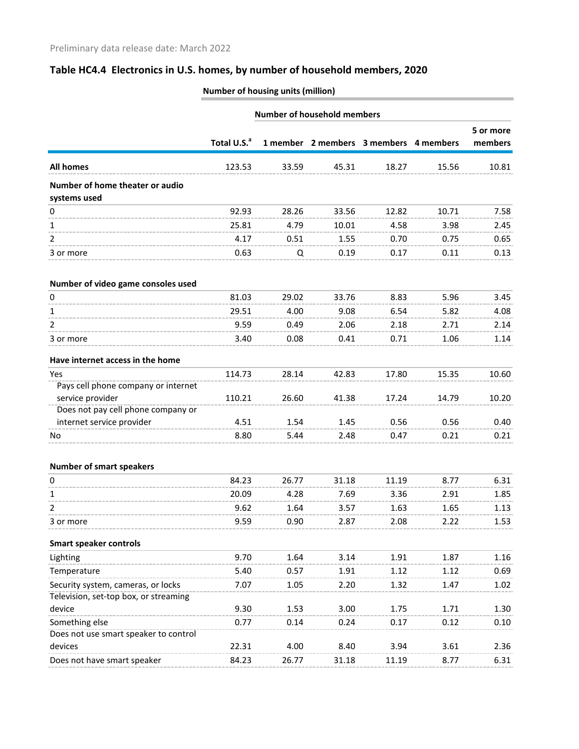|                                                         | <b>Number of household members</b> |       |                                        |       |       |                      |
|---------------------------------------------------------|------------------------------------|-------|----------------------------------------|-------|-------|----------------------|
|                                                         | Total U.S. <sup>a</sup>            |       | 1 member 2 members 3 members 4 members |       |       | 5 or more<br>members |
| <b>All homes</b>                                        | 123.53                             | 33.59 | 45.31                                  | 18.27 | 15.56 | 10.81                |
| Number of home theater or audio<br>systems used         |                                    |       |                                        |       |       |                      |
| 0                                                       | 92.93                              | 28.26 | 33.56                                  | 12.82 | 10.71 | 7.58                 |
| 1                                                       | 25.81                              | 4.79  | 10.01                                  | 4.58  | 3.98  | 2.45                 |
| 2                                                       | 4.17                               | 0.51  | 1.55                                   | 0.70  | 0.75  | 0.65                 |
| 3 or more                                               | 0.63                               | Q     | 0.19                                   | 0.17  | 0.11  | 0.13                 |
| Number of video game consoles used                      |                                    |       |                                        |       |       |                      |
| 0                                                       | 81.03                              | 29.02 | 33.76                                  | 8.83  | 5.96  | 3.45                 |
| 1                                                       | 29.51                              | 4.00  | 9.08                                   | 6.54  | 5.82  | 4.08                 |
| 2                                                       | 9.59                               | 0.49  | 2.06                                   | 2.18  | 2.71  | 2.14                 |
| 3 or more                                               | 3.40                               | 0.08  | 0.41                                   | 0.71  | 1.06  | 1.14                 |
| Have internet access in the home                        |                                    |       |                                        |       |       |                      |
| Yes                                                     | 114.73                             | 28.14 | 42.83                                  | 17.80 | 15.35 | 10.60                |
| Pays cell phone company or internet<br>service provider | 110.21                             | 26.60 | 41.38                                  | 17.24 | 14.79 | 10.20                |
| Does not pay cell phone company or                      |                                    |       |                                        |       |       |                      |
| internet service provider                               | 4.51                               | 1.54  | 1.45                                   | 0.56  | 0.56  | 0.40                 |
| No                                                      | 8.80                               | 5.44  | 2.48                                   | 0.47  | 0.21  | 0.21                 |
| <b>Number of smart speakers</b>                         |                                    |       |                                        |       |       |                      |
| 0                                                       | 84.23                              | 26.77 | 31.18                                  | 11.19 | 8.77  | 6.31                 |
| 1                                                       | 20.09                              | 4.28  | 7.69                                   | 3.36  | 2.91  | 1.85                 |
| 2                                                       | 9.62                               | 1.64  | 3.57                                   | 1.63  | 1.65  | 1.13                 |
| 3 or more                                               | 9.59                               | 0.90  | 2.87                                   | 2.08  | 2.22  | 1.53                 |
| <b>Smart speaker controls</b>                           |                                    |       |                                        |       |       |                      |
| Lighting                                                | 9.70                               | 1.64  | 3.14                                   | 1.91  | 1.87  | 1.16                 |
| Temperature                                             | 5.40                               | 0.57  | 1.91                                   | 1.12  | 1.12  | 0.69                 |
| Security system, cameras, or locks                      | 7.07                               | 1.05  | 2.20                                   | 1.32  | 1.47  | 1.02                 |
| Television, set-top box, or streaming                   |                                    |       |                                        |       |       |                      |
| device                                                  | 9.30                               | 1.53  | 3.00                                   | 1.75  | 1.71  | 1.30                 |
| Something else                                          | 0.77                               | 0.14  | 0.24                                   | 0.17  | 0.12  | 0.10                 |
| Does not use smart speaker to control                   |                                    |       |                                        |       |       |                      |
| devices                                                 | 22.31                              | 4.00  | 8.40                                   | 3.94  | 3.61  | 2.36                 |
| Does not have smart speaker                             | 84.23                              | 26.77 | 31.18                                  | 11.19 | 8.77  | 6.31                 |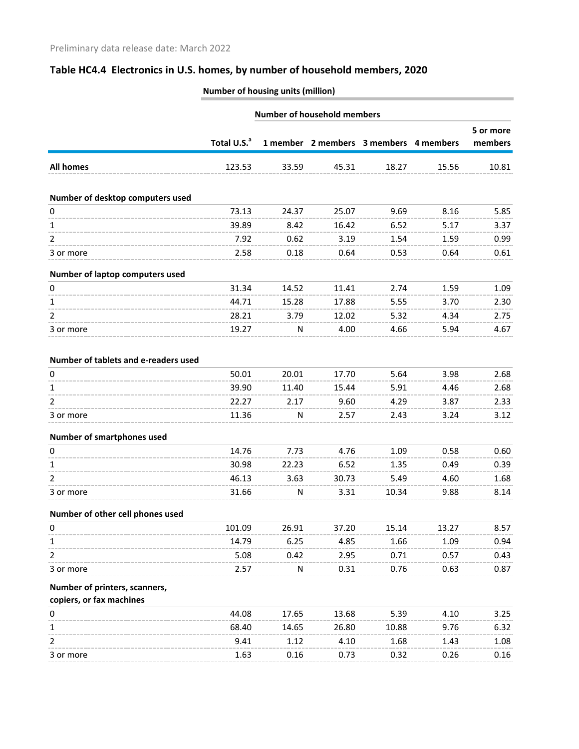|                                                           | <b>Number of household members</b> |       |       |                                        |              |                      |
|-----------------------------------------------------------|------------------------------------|-------|-------|----------------------------------------|--------------|----------------------|
|                                                           | Total U.S. <sup>a</sup>            |       |       | 1 member 2 members 3 members 4 members |              | 5 or more<br>members |
| <b>All homes</b>                                          | 123.53                             | 33.59 | 45.31 | 18.27                                  | 15.56        | 10.81                |
| Number of desktop computers used                          |                                    |       |       |                                        |              |                      |
| 0                                                         | 73.13                              | 24.37 | 25.07 | 9.69                                   | 8.16         | 5.85                 |
| 1                                                         | 39.89                              | 8.42  | 16.42 | 6.52                                   | 5.17         | 3.37                 |
| 2                                                         | 7.92                               | 0.62  | 3.19  | 1.54                                   | 1.59         | 0.99                 |
| 3 or more                                                 | 2.58                               | 0.18  | 0.64  | 0.53                                   | 0.64         | 0.61                 |
| Number of laptop computers used                           |                                    |       |       |                                        |              |                      |
| 0                                                         | 31.34                              | 14.52 | 11.41 | 2.74                                   | 1.59         | 1.09                 |
| 1                                                         | 44.71                              | 15.28 | 17.88 | 5.55                                   | 3.70         | 2.30                 |
| 2                                                         | 28.21                              | 3.79  | 12.02 | 5.32                                   | 4.34         | 2.75                 |
| 3 or more                                                 | 19.27                              | N     | 4.00  | 4.66                                   | 5.94         | 4.67                 |
| Number of tablets and e-readers used                      |                                    |       |       |                                        |              |                      |
| 0                                                         | 50.01                              | 20.01 | 17.70 | 5.64                                   | 3.98         | 2.68                 |
| 1                                                         | 39.90                              | 11.40 | 15.44 | 5.91                                   | 4.46         | 2.68                 |
| 2                                                         | 22.27                              | 2.17  | 9.60  | 4.29                                   | 3.87         | 2.33                 |
| 3 or more                                                 | 11.36                              | N     | 2.57  | 2.43                                   | 3.24         | 3.12                 |
| Number of smartphones used                                |                                    |       |       |                                        |              |                      |
| 0                                                         | 14.76                              | 7.73  | 4.76  | 1.09                                   | 0.58         | 0.60                 |
| 1                                                         | 30.98                              | 22.23 | 6.52  | 1.35                                   | 0.49         | 0.39                 |
| $\overline{2}$                                            | 46.13                              | 3.63  | 30.73 | 5.49                                   | 4.60         | 1.68                 |
| 3 or more                                                 | 31.66                              | N     | 3.31  | 10.34                                  | 9.88         | 8.14                 |
| Number of other cell phones used                          |                                    |       |       |                                        |              |                      |
| 0                                                         | 101.09                             | 26.91 | 37.20 | 15.14                                  | 13.27        | 8.57                 |
| 1                                                         | 14.79                              | 6.25  | 4.85  | 1.66                                   | 1.09         | 0.94                 |
| 2                                                         | 5.08                               | 0.42  | 2.95  | 0.71                                   | 0.57         | 0.43                 |
| 3 or more                                                 | 2.57                               | N     | 0.31  | 0.76                                   | 0.63         | 0.87                 |
| Number of printers, scanners,<br>copiers, or fax machines |                                    |       |       |                                        |              |                      |
|                                                           | 44.08                              | 17.65 | 13.68 | 5.39                                   | 4.10         | 3.25                 |
| 0<br>1                                                    | 68.40                              | 14.65 | 26.80 | 10.88                                  | 9.76         | 6.32                 |
| 2                                                         |                                    |       |       |                                        |              |                      |
|                                                           | 9.41<br>1.63                       | 1.12  | 4.10  | 1.68<br>0.32                           | 1.43<br>0.26 | 1.08                 |
| 3 or more                                                 |                                    | 0.16  | 0.73  |                                        |              | 0.16                 |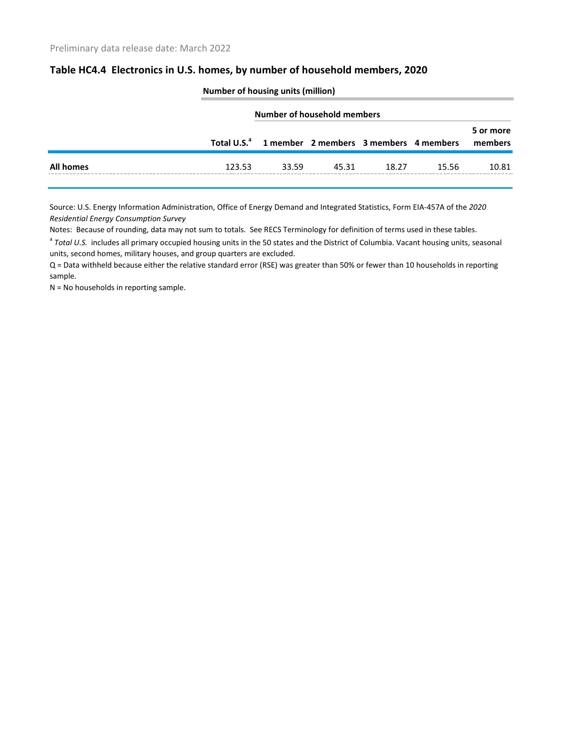|                  |        | <b>NUMBER OF HOUSING UNITS (MINORITY</b>                       |       |       |       |                      |
|------------------|--------|----------------------------------------------------------------|-------|-------|-------|----------------------|
|                  |        | Number of household members                                    |       |       |       |                      |
|                  |        | Total U.S. <sup>a</sup> 1 member 2 members 3 members 4 members |       |       |       | 5 or more<br>members |
| <b>All homes</b> | 123.53 | 33.59                                                          | 45.31 | 18.27 | 15.56 | 10.81                |

**Number of housing units (million)**

Source: U.S. Energy Information Administration, Office of Energy Demand and Integrated Statistics, Form EIA-457A of the *2020 Residential Energy Consumption Survey*

Notes: Because of rounding, data may not sum to totals. See RECS Terminology for definition of terms used in these tables.

<sup>a</sup> Total U.S. includes all primary occupied housing units in the 50 states and the District of Columbia. Vacant housing units, seasonal units, second homes, military houses, and group quarters are excluded.

Q = Data withheld because either the relative standard error (RSE) was greater than 50% or fewer than 10 households in reporting sample.

N = No households in reporting sample.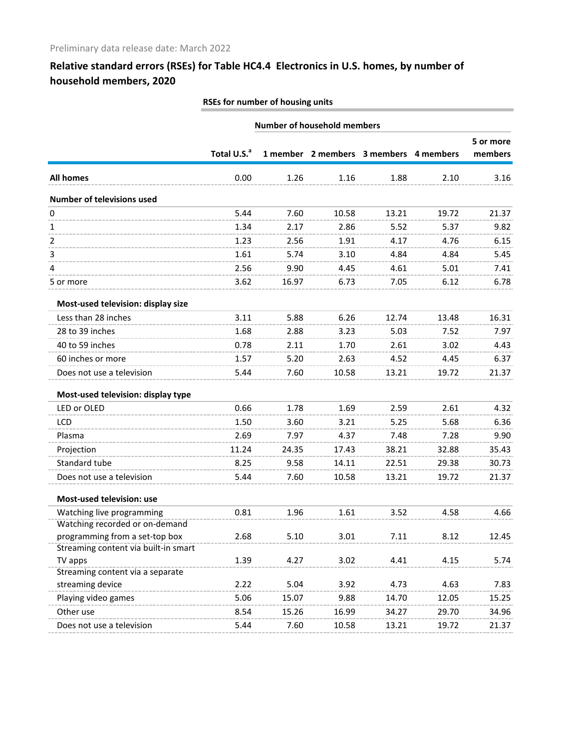| RSEs for number of housing units |  |
|----------------------------------|--|
|                                  |  |

|                                                      | <b>Number of household members</b> |       |       |                                        |       |                      |
|------------------------------------------------------|------------------------------------|-------|-------|----------------------------------------|-------|----------------------|
|                                                      | Total U.S. <sup>a</sup>            |       |       | 1 member 2 members 3 members 4 members |       | 5 or more<br>members |
| <b>All homes</b>                                     | 0.00                               | 1.26  | 1.16  | 1.88                                   | 2.10  | 3.16                 |
| <b>Number of televisions used</b>                    |                                    |       |       |                                        |       |                      |
| 0                                                    | 5.44                               | 7.60  | 10.58 | 13.21                                  | 19.72 | 21.37                |
| 1                                                    | 1.34                               | 2.17  | 2.86  | 5.52                                   | 5.37  | 9.82                 |
| 2                                                    | 1.23                               | 2.56  | 1.91  | 4.17                                   | 4.76  | 6.15                 |
| 3                                                    | 1.61                               | 5.74  | 3.10  | 4.84                                   | 4.84  | 5.45                 |
| 4                                                    | 2.56                               | 9.90  | 4.45  | 4.61                                   | 5.01  | 7.41                 |
| 5 or more                                            | 3.62                               | 16.97 | 6.73  | 7.05                                   | 6.12  | 6.78                 |
| Most-used television: display size                   |                                    |       |       |                                        |       |                      |
| Less than 28 inches                                  | 3.11                               | 5.88  | 6.26  | 12.74                                  | 13.48 | 16.31                |
| 28 to 39 inches                                      | 1.68                               | 2.88  | 3.23  | 5.03                                   | 7.52  | 7.97                 |
| 40 to 59 inches                                      | 0.78                               | 2.11  | 1.70  | 2.61                                   | 3.02  | 4.43                 |
| 60 inches or more                                    | 1.57                               | 5.20  | 2.63  | 4.52                                   | 4.45  | 6.37                 |
| Does not use a television                            | 5.44                               | 7.60  | 10.58 | 13.21                                  | 19.72 | 21.37                |
| Most-used television: display type                   |                                    |       |       |                                        |       |                      |
| LED or OLED                                          | 0.66                               | 1.78  | 1.69  | 2.59                                   | 2.61  | 4.32                 |
| <b>LCD</b>                                           | 1.50                               | 3.60  | 3.21  | 5.25                                   | 5.68  | 6.36                 |
| Plasma                                               | 2.69                               | 7.97  | 4.37  | 7.48                                   | 7.28  | 9.90                 |
| Projection                                           | 11.24                              | 24.35 | 17.43 | 38.21                                  | 32.88 | 35.43                |
| Standard tube                                        | 8.25                               | 9.58  | 14.11 | 22.51                                  | 29.38 | 30.73                |
| Does not use a television                            | 5.44                               | 7.60  | 10.58 | 13.21                                  | 19.72 | 21.37                |
| Most-used television: use                            |                                    |       |       |                                        |       |                      |
| Watching live programming                            | 0.81                               | 1.96  | 1.61  | 3.52                                   | 4.58  | 4.66                 |
| Watching recorded or on-demand                       |                                    |       |       |                                        |       |                      |
| programming from a set-top box                       | 2.68                               | 5.10  | 3.01  | 7.11                                   | 8.12  | 12.45                |
| Streaming content via built-in smart                 |                                    |       |       |                                        |       |                      |
| TV apps                                              | 1.39                               | 4.27  | 3.02  | 4.41                                   | 4.15  | 5.74                 |
| Streaming content via a separate<br>streaming device | 2.22                               | 5.04  | 3.92  | 4.73                                   | 4.63  | 7.83                 |
| Playing video games                                  | 5.06                               | 15.07 | 9.88  | 14.70                                  |       | 15.25                |
|                                                      |                                    |       |       |                                        | 12.05 |                      |
| Other use                                            | 8.54                               | 15.26 | 16.99 | 34.27                                  | 29.70 | 34.96                |
| Does not use a television                            | 5.44                               | 7.60  | 10.58 | 13.21                                  | 19.72 | 21.37                |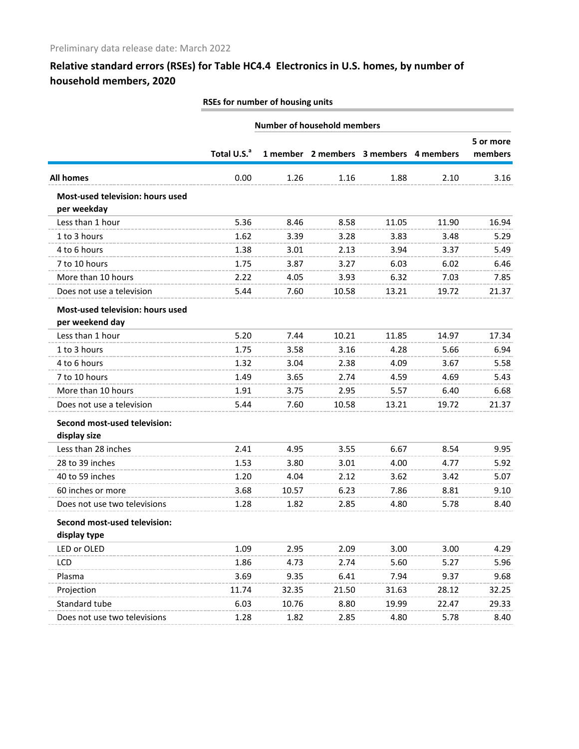| RSEs for number of housing units |  |
|----------------------------------|--|
|                                  |  |

|                                  | <b>Number of household members</b> |       |       |                                        |       |           |
|----------------------------------|------------------------------------|-------|-------|----------------------------------------|-------|-----------|
|                                  |                                    |       |       |                                        |       | 5 or more |
|                                  | Total U.S. <sup>a</sup>            |       |       | 1 member 2 members 3 members 4 members |       | members   |
| <b>All homes</b>                 | 0.00                               | 1.26  | 1.16  | 1.88                                   | 2.10  | 3.16      |
| Most-used television: hours used |                                    |       |       |                                        |       |           |
| per weekday                      |                                    |       |       |                                        |       |           |
| Less than 1 hour                 | 5.36                               | 8.46  | 8.58  | 11.05                                  | 11.90 | 16.94     |
| 1 to 3 hours                     | 1.62                               | 3.39  | 3.28  | 3.83                                   | 3.48  | 5.29      |
| 4 to 6 hours                     | 1.38                               | 3.01  | 2.13  | 3.94                                   | 3.37  | 5.49      |
| 7 to 10 hours                    | 1.75                               | 3.87  | 3.27  | 6.03                                   | 6.02  | 6.46      |
| More than 10 hours               | 2.22                               | 4.05  | 3.93  | 6.32                                   | 7.03  | 7.85      |
| Does not use a television        | 5.44                               | 7.60  | 10.58 | 13.21                                  | 19.72 | 21.37     |
| Most-used television: hours used |                                    |       |       |                                        |       |           |
| per weekend day                  |                                    |       |       |                                        |       |           |
| Less than 1 hour                 | 5.20                               | 7.44  | 10.21 | 11.85                                  | 14.97 | 17.34     |
| 1 to 3 hours                     | 1.75                               | 3.58  | 3.16  | 4.28                                   | 5.66  | 6.94      |
| 4 to 6 hours                     | 1.32                               | 3.04  | 2.38  | 4.09                                   | 3.67  | 5.58      |
| 7 to 10 hours                    | 1.49                               | 3.65  | 2.74  | 4.59                                   | 4.69  | 5.43      |
| More than 10 hours               | 1.91                               | 3.75  | 2.95  | 5.57                                   | 6.40  | 6.68      |
| Does not use a television        | 5.44                               | 7.60  | 10.58 | 13.21                                  | 19.72 | 21.37     |
| Second most-used television:     |                                    |       |       |                                        |       |           |
| display size                     |                                    |       |       |                                        |       |           |
| Less than 28 inches              | 2.41                               | 4.95  | 3.55  | 6.67                                   | 8.54  | 9.95      |
| 28 to 39 inches                  | 1.53                               | 3.80  | 3.01  | 4.00                                   | 4.77  | 5.92      |
| 40 to 59 inches                  | 1.20                               | 4.04  | 2.12  | 3.62                                   | 3.42  | 5.07      |
| 60 inches or more                | 3.68                               | 10.57 | 6.23  | 7.86                                   | 8.81  | 9.10      |
| Does not use two televisions     | 1.28                               | 1.82  | 2.85  | 4.80                                   | 5.78  | 8.40      |
| Second most-used television:     |                                    |       |       |                                        |       |           |
| display type                     |                                    |       |       |                                        |       |           |
| LED or OLED                      | 1.09                               | 2.95  | 2.09  | 3.00                                   | 3.00  | 4.29      |
| LCD                              | 1.86                               | 4.73  | 2.74  | 5.60                                   | 5.27  | 5.96      |
| Plasma                           | 3.69                               | 9.35  | 6.41  | 7.94                                   | 9.37  | 9.68      |
| Projection                       | 11.74                              | 32.35 | 21.50 | 31.63                                  | 28.12 | 32.25     |
| Standard tube                    | 6.03                               | 10.76 | 8.80  | 19.99                                  | 22.47 | 29.33     |
| Does not use two televisions     | 1.28                               | 1.82  | 2.85  | 4.80                                   | 5.78  | 8.40      |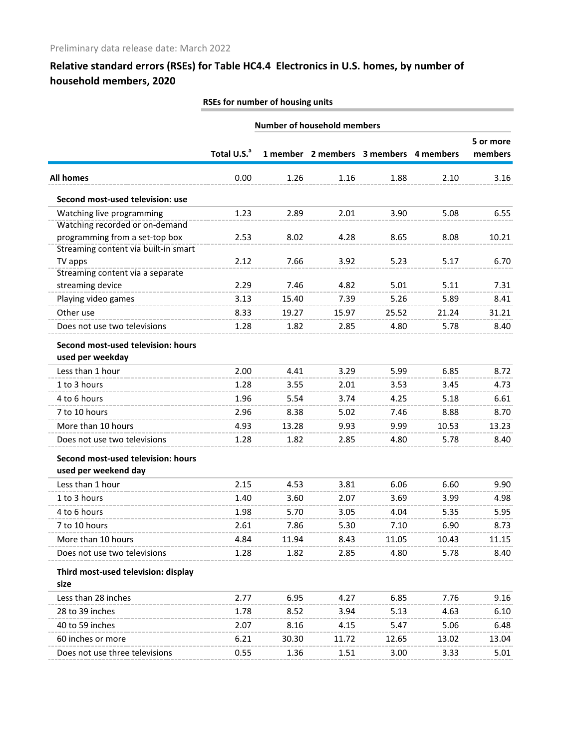| RSEs for number of housing units |  |
|----------------------------------|--|
|                                  |  |

|                                                            | <b>Number of household members</b> |       |       |                                        |       |                      |
|------------------------------------------------------------|------------------------------------|-------|-------|----------------------------------------|-------|----------------------|
|                                                            | Total U.S. <sup>a</sup>            |       |       | 1 member 2 members 3 members 4 members |       | 5 or more<br>members |
| <b>All homes</b>                                           | 0.00                               | 1.26  | 1.16  | 1.88                                   | 2.10  | 3.16                 |
| Second most-used television: use                           |                                    |       |       |                                        |       |                      |
| Watching live programming                                  | 1.23                               | 2.89  | 2.01  | 3.90                                   | 5.08  | 6.55                 |
| Watching recorded or on-demand                             |                                    |       |       |                                        |       |                      |
| programming from a set-top box                             | 2.53                               | 8.02  | 4.28  | 8.65                                   | 8.08  | 10.21                |
| Streaming content via built-in smart                       |                                    |       |       |                                        |       |                      |
| TV apps<br>Streaming content via a separate                | 2.12                               | 7.66  | 3.92  | 5.23                                   | 5.17  | 6.70                 |
| streaming device                                           | 2.29                               | 7.46  | 4.82  | 5.01                                   | 5.11  | 7.31                 |
| Playing video games                                        | 3.13                               | 15.40 | 7.39  | 5.26                                   | 5.89  | 8.41                 |
| Other use                                                  | 8.33                               | 19.27 | 15.97 | 25.52                                  | 21.24 | 31.21                |
| Does not use two televisions                               | 1.28                               | 1.82  | 2.85  | 4.80                                   | 5.78  | 8.40                 |
|                                                            |                                    |       |       |                                        |       |                      |
| Second most-used television: hours                         |                                    |       |       |                                        |       |                      |
| used per weekday                                           |                                    |       |       |                                        |       |                      |
| Less than 1 hour                                           | 2.00                               | 4.41  | 3.29  | 5.99                                   | 6.85  | 8.72                 |
| 1 to 3 hours                                               | 1.28                               | 3.55  | 2.01  | 3.53                                   | 3.45  | 4.73                 |
| 4 to 6 hours                                               | 1.96                               | 5.54  | 3.74  | 4.25                                   | 5.18  | 6.61                 |
| 7 to 10 hours                                              | 2.96                               | 8.38  | 5.02  | 7.46                                   | 8.88  | 8.70                 |
| More than 10 hours                                         | 4.93                               | 13.28 | 9.93  | 9.99                                   | 10.53 | 13.23                |
| Does not use two televisions                               | 1.28                               | 1.82  | 2.85  | 4.80                                   | 5.78  | 8.40                 |
| Second most-used television: hours<br>used per weekend day |                                    |       |       |                                        |       |                      |
| Less than 1 hour                                           | 2.15                               | 4.53  | 3.81  | 6.06                                   | 6.60  | 9.90                 |
| 1 to 3 hours                                               | 1.40                               | 3.60  | 2.07  | 3.69                                   | 3.99  | 4.98                 |
| 4 to 6 hours                                               | 1.98                               | 5.70  | 3.05  | 4.04                                   | 5.35  | 5.95                 |
| 7 to 10 hours                                              | 2.61                               | 7.86  | 5.30  | 7.10                                   | 6.90  | 8.73                 |
| More than 10 hours                                         | 4.84                               | 11.94 | 8.43  | 11 05                                  | 1043  | 11.15                |
| Does not use two televisions                               | 1.28                               | 1.82  | 2.85  | 4.80                                   | 5.78  | 8.40                 |
|                                                            |                                    |       |       |                                        |       |                      |
| Third most-used television: display                        |                                    |       |       |                                        |       |                      |
| size                                                       |                                    |       |       |                                        |       |                      |
| Less than 28 inches                                        | 2.77                               | 6.95  | 4.27  | 6.85                                   | 7.76  | 9.16                 |
| 28 to 39 inches                                            | 1.78                               | 8.52  | 3.94  | 5.13                                   | 4.63  | 6.10                 |
| 40 to 59 inches                                            | 2.07                               | 8.16  | 4.15  | 5.47                                   | 5.06  | 6.48                 |
| 60 inches or more                                          | 6.21                               | 30.30 | 11.72 | 12.65                                  | 13.02 | 13.04                |
| Does not use three televisions                             | 0.55                               | 1.36  | 1.51  | 3.00                                   | 3.33  | 5.01                 |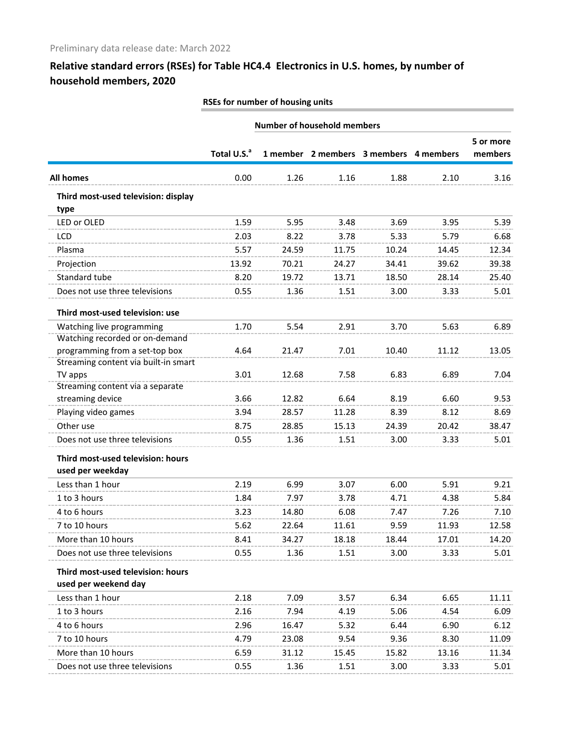| RSEs for number of housing units |  |
|----------------------------------|--|
|                                  |  |
|                                  |  |

|                                                       | <b>Number of household members</b> |       |       |                                        |       |                      |
|-------------------------------------------------------|------------------------------------|-------|-------|----------------------------------------|-------|----------------------|
|                                                       | Total U.S. <sup>a</sup>            |       |       | 1 member 2 members 3 members 4 members |       | 5 or more<br>members |
| <b>All homes</b>                                      | 0.00                               | 1.26  | 1.16  | 1.88                                   | 2.10  | 3.16                 |
| Third most-used television: display<br>type           |                                    |       |       |                                        |       |                      |
| LED or OLED                                           | 1.59                               | 5.95  | 3.48  | 3.69                                   | 3.95  | 5.39                 |
| <b>LCD</b>                                            | 2.03                               | 8.22  | 3.78  | 5.33                                   | 5.79  | 6.68                 |
| Plasma                                                | 5.57                               | 24.59 | 11.75 | 10.24                                  | 14.45 | 12.34                |
| Projection                                            | 13.92                              | 70.21 | 24.27 | 34.41                                  | 39.62 | 39.38                |
| Standard tube                                         | 8.20                               | 19.72 | 13.71 | 18.50                                  | 28.14 | 25.40                |
| Does not use three televisions                        | 0.55                               | 1.36  | 1.51  | 3.00                                   | 3.33  | 5.01                 |
| Third most-used television: use                       |                                    |       |       |                                        |       |                      |
| Watching live programming                             | 1.70                               | 5.54  | 2.91  | 3.70                                   | 5.63  | 6.89                 |
| Watching recorded or on-demand                        |                                    |       |       |                                        |       |                      |
| programming from a set-top box                        | 4.64                               | 21.47 | 7.01  | 10.40                                  | 11.12 | 13.05                |
| Streaming content via built-in smart                  |                                    |       |       |                                        |       |                      |
| TV apps                                               | 3.01                               | 12.68 | 7.58  | 6.83                                   | 6.89  | 7.04                 |
| Streaming content via a separate                      | 3.66                               |       | 6.64  |                                        | 6.60  |                      |
| streaming device                                      |                                    | 12.82 |       | 8.19                                   |       | 9.53                 |
| Playing video games                                   | 3.94                               | 28.57 | 11.28 | 8.39                                   | 8.12  | 8.69                 |
| Other use                                             | 8.75                               | 28.85 | 15.13 | 24.39                                  | 20.42 | 38.47                |
| Does not use three televisions                        | 0.55                               | 1.36  | 1.51  | 3.00                                   | 3.33  | 5.01                 |
| Third most-used television: hours<br>used per weekday |                                    |       |       |                                        |       |                      |
| Less than 1 hour                                      | 2.19                               | 6.99  | 3.07  | 6.00                                   | 5.91  | 9.21                 |
| 1 to 3 hours                                          | 1.84                               | 7.97  | 3.78  | 4.71                                   | 4.38  | 5.84                 |
| 4 to 6 hours                                          | 3.23                               | 14.80 | 6.08  | 7.47                                   | 7.26  | 7.10                 |
| 7 to 10 hours                                         | 5.62                               | 22.64 | 11.61 | 9.59                                   | 11.93 | 12.58                |
| More than 10 hours                                    | 8.41                               | 34.27 | 18 18 | 18.44                                  | 17.01 | 14.20                |
| Does not use three televisions                        | 0.55                               | 1.36  | 1.51  | 3.00                                   | 3.33  | 5.01                 |
| Third most-used television: hours                     |                                    |       |       |                                        |       |                      |
| used per weekend day                                  |                                    |       |       |                                        |       |                      |
| Less than 1 hour                                      | 2.18                               | 7.09  | 3.57  | 6.34                                   | 6.65  | 11.11                |
| 1 to 3 hours                                          | 2.16                               | 7.94  | 4.19  | 5.06                                   | 4.54  | 6.09                 |
| 4 to 6 hours                                          | 2.96                               | 16.47 | 5.32  | 6.44                                   | 6.90  | 6.12                 |
| 7 to 10 hours                                         | 4.79                               | 23.08 | 9.54  | 9.36                                   | 8.30  | 11.09                |
| More than 10 hours                                    | 6.59                               | 31.12 | 15.45 | 15.82                                  | 13.16 | 11.34                |
| Does not use three televisions                        | 0.55                               | 1.36  | 1.51  | 3.00                                   | 3.33  | 5.01                 |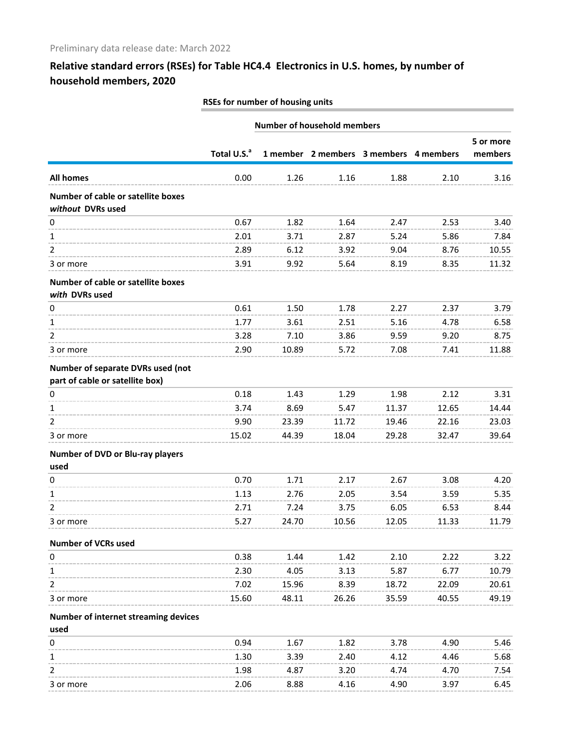| RSEs for number of housing units |  |
|----------------------------------|--|
|                                  |  |

|                                                                      | <b>Number of household members</b> |       |       |                                        |       |                      |
|----------------------------------------------------------------------|------------------------------------|-------|-------|----------------------------------------|-------|----------------------|
|                                                                      | Total U.S. <sup>a</sup>            |       |       | 1 member 2 members 3 members 4 members |       | 5 or more<br>members |
| <b>All homes</b>                                                     | 0.00                               | 1.26  | 1.16  | 1.88                                   | 2.10  | 3.16                 |
| Number of cable or satellite boxes<br>without DVRs used              |                                    |       |       |                                        |       |                      |
| 0                                                                    | 0.67                               | 1.82  | 1.64  | 2.47                                   | 2.53  | 3.40                 |
| 1                                                                    | 2.01                               | 3.71  | 2.87  | 5.24                                   | 5.86  | 7.84                 |
| 2                                                                    | 2.89                               | 6.12  | 3.92  | 9.04                                   | 8.76  | 10.55                |
| 3 or more                                                            | 3.91                               | 9.92  | 5.64  | 8.19                                   | 8.35  | 11.32                |
| Number of cable or satellite boxes<br>with DVRs used                 |                                    |       |       |                                        |       |                      |
| 0                                                                    | 0.61                               | 1.50  | 1.78  | 2.27                                   | 2.37  | 3.79                 |
| 1                                                                    | 1.77                               | 3.61  | 2.51  | 5.16                                   | 4.78  | 6.58                 |
| 2                                                                    | 3.28                               | 7.10  | 3.86  | 9.59                                   | 9.20  | 8.75                 |
| 3 or more                                                            | 2.90                               | 10.89 | 5.72  | 7.08                                   | 7.41  | 11.88                |
| Number of separate DVRs used (not<br>part of cable or satellite box) |                                    |       |       |                                        |       |                      |
| 0                                                                    | 0.18                               | 1.43  | 1.29  | 1.98                                   | 2.12  | 3.31                 |
| 1                                                                    | 3.74                               | 8.69  | 5.47  | 11.37                                  | 12.65 | 14.44                |
| 2                                                                    | 9.90                               | 23.39 | 11.72 | 19.46                                  | 22.16 | 23.03                |
| 3 or more                                                            | 15.02                              | 44.39 | 18.04 | 29.28                                  | 32.47 | 39.64                |
| Number of DVD or Blu-ray players<br>used                             |                                    |       |       |                                        |       |                      |
| 0                                                                    | 0.70                               | 1.71  | 2.17  | 2.67                                   | 3.08  | 4.20                 |
| 1                                                                    | 1.13                               | 2.76  | 2.05  | 3.54                                   | 3.59  | 5.35                 |
| 2                                                                    | 2.71                               | 7.24  | 3.75  | 6.05                                   | 6.53  | 8.44                 |
| 3 or more                                                            | 5.27                               | 24.70 | 10.56 | 12.05                                  | 11.33 | 11.79                |
| <b>Number of VCRs used</b>                                           |                                    |       |       |                                        |       |                      |
| 0                                                                    | 0.38                               | 1.44  | 1.42  | 2.10                                   | 2.22  | 3.22                 |
| 1                                                                    | 2.30                               | 4.05  | 3.13  | 5.87                                   | 6.77  | 10.79                |
| $\overline{2}$                                                       | 7.02                               | 15.96 | 8.39  | 18.72                                  | 22.09 | 20.61                |
| 3 or more                                                            | 15.60                              | 48.11 | 26.26 | 35.59                                  | 40.55 | 49.19                |
| Number of internet streaming devices                                 |                                    |       |       |                                        |       |                      |
| used                                                                 |                                    |       |       |                                        |       |                      |
| 0                                                                    | 0.94                               | 1.67  | 1.82  | 3.78                                   | 4.90  | 5.46                 |
| 1                                                                    | 1.30                               | 3.39  | 2.40  | 4.12                                   | 4.46  | 5.68                 |
| 2                                                                    | 1.98                               | 4.87  | 3.20  | 4.74                                   | 4.70  | 7.54                 |
| 3 or more                                                            | 2.06                               | 8.88  | 4.16  | 4.90                                   | 3.97  | 6.45                 |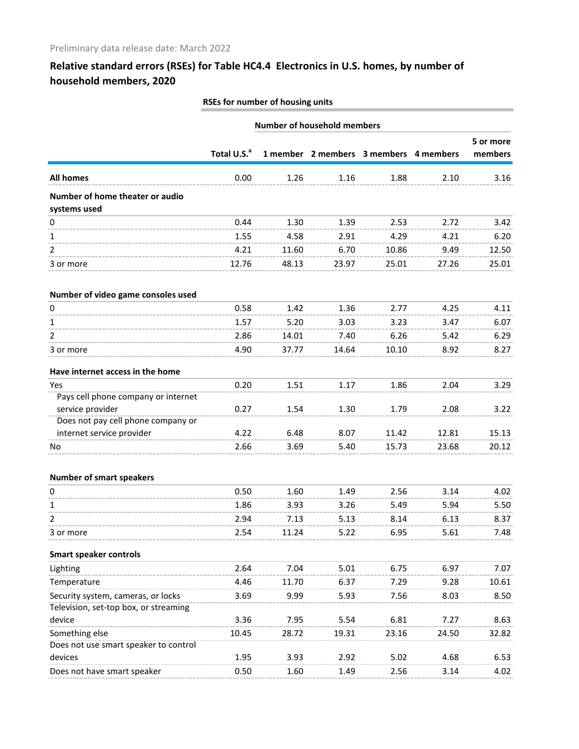| RSEs for number of housing units |  |
|----------------------------------|--|
|                                  |  |
|                                  |  |

|                                                         | <b>Number of household members</b> |       |       |                                        |       |                      |
|---------------------------------------------------------|------------------------------------|-------|-------|----------------------------------------|-------|----------------------|
|                                                         | Total U.S. <sup>a</sup>            |       |       | 1 member 2 members 3 members 4 members |       | 5 or more<br>members |
| <b>All homes</b>                                        | 0.00                               | 1.26  | 1.16  | 1.88                                   | 2.10  | 3.16                 |
| Number of home theater or audio<br>systems used         |                                    |       |       |                                        |       |                      |
| 0                                                       | 0.44                               | 1.30  | 1.39  | 2.53                                   | 2.72  | 3.42                 |
| 1                                                       | 1.55                               | 4.58  | 2.91  | 4.29                                   | 4.21  | 6.20                 |
| 2                                                       | 4.21                               | 11.60 | 6.70  | 10.86                                  | 9.49  | 12.50                |
| 3 or more                                               | 12.76                              | 48.13 | 23.97 | 25.01                                  | 27.26 | 25.01                |
| Number of video game consoles used                      |                                    |       |       |                                        |       |                      |
| 0                                                       | 0.58                               | 1.42  | 1.36  | 2.77                                   | 4.25  | 4.11                 |
| 1                                                       | 1.57                               | 5.20  | 3.03  | 3.23                                   | 3.47  | 6.07                 |
| 2                                                       | 2.86                               | 14.01 | 7.40  | 6.26                                   | 5.42  | 6.29                 |
| 3 or more                                               | 4.90                               | 37.77 | 14.64 | 10.10                                  | 8.92  | 8.27                 |
| Have internet access in the home                        |                                    |       |       |                                        |       |                      |
| Yes                                                     | 0.20                               | 1.51  | 1.17  | 1.86                                   | 2.04  | 3.29                 |
| Pays cell phone company or internet<br>service provider | 0.27                               | 1.54  | 1.30  | 1.79                                   | 2.08  | 3.22                 |
| Does not pay cell phone company or                      |                                    |       |       |                                        |       |                      |
| internet service provider                               | 4.22                               | 6.48  | 8.07  | 11.42                                  | 12.81 | 15.13                |
| No.                                                     | 2.66                               | 3.69  | 5.40  | 15.73                                  | 23.68 | 20.12                |
| <b>Number of smart speakers</b>                         |                                    |       |       |                                        |       |                      |
| 0                                                       | 0.50                               | 1.60  | 1.49  | 2.56                                   | 3.14  | 4.02                 |
| 1                                                       | 1.86                               | 3.93  | 3.26  | 5.49                                   | 5.94  | 5.50                 |
| $\overline{2}$                                          | 2.94                               | 7.13  | 5.13  | 8.14                                   | 6.13  | 8.37                 |
| 3 or more                                               | 2.54                               | 11.24 | 5.22  | 6.95                                   | 5.61  | 7.48                 |
| <b>Smart speaker controls</b>                           |                                    |       |       |                                        |       |                      |
| Lighting                                                | 2.64                               | 7.04  | 5.01  | 6.75                                   | 6.97  | 7.07                 |
| Temperature                                             | 4.46                               | 11.70 | 6.37  | 7.29                                   | 9.28  | 10.61                |
| Security system, cameras, or locks                      | 3.69                               | 9.99  | 5.93  | 7.56                                   | 8.03  | 8.50                 |
| Television, set-top box, or streaming                   |                                    |       |       |                                        |       |                      |
| device                                                  | 3.36                               | 7.95  | 5.54  | 6.81                                   | 7.27  | 8.63                 |
| Something else                                          | 10.45                              | 28.72 | 19.31 | 23.16                                  | 24.50 | 32.82                |
| Does not use smart speaker to control                   |                                    |       |       |                                        |       |                      |
| devices                                                 | 1.95                               | 3.93  | 2.92  | 5.02                                   | 4.68  | 6.53                 |
| Does not have smart speaker                             | 0.50                               | 1.60  | 1.49  | 2.56                                   | 3.14  | 4.02                 |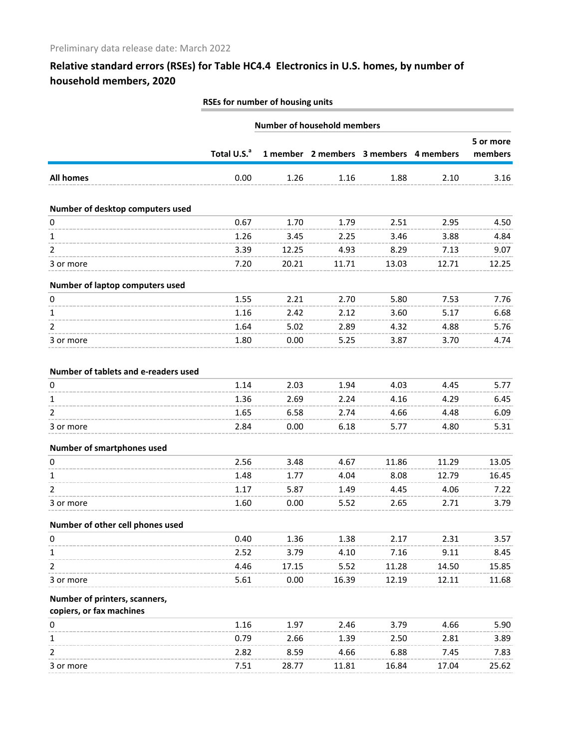|                                      | RSEs for number of housing units |       |       |                                        |       |           |  |
|--------------------------------------|----------------------------------|-------|-------|----------------------------------------|-------|-----------|--|
|                                      | Number of household members      |       |       |                                        |       |           |  |
|                                      | Total U.S. <sup>a</sup>          |       |       |                                        |       | 5 or more |  |
|                                      |                                  |       |       | 1 member 2 members 3 members 4 members |       | members   |  |
| <b>All homes</b>                     | 0.00                             | 1.26  | 1.16  | 1.88                                   | 2.10  | 3.16      |  |
| Number of desktop computers used     |                                  |       |       |                                        |       |           |  |
| 0                                    | 0.67                             | 1.70  | 1.79  | 2.51                                   | 2.95  | 4.50      |  |
| 1                                    | 1.26                             | 3.45  | 2.25  | 3.46                                   | 3.88  | 4.84      |  |
| 2                                    | 3.39                             | 12.25 | 4.93  | 8.29                                   | 7.13  | 9.07      |  |
| 3 or more                            | 7.20                             | 20.21 | 11.71 | 13.03                                  | 12.71 | 12.25     |  |
| Number of laptop computers used      |                                  |       |       |                                        |       |           |  |
| 0                                    | 1.55                             | 2.21  | 2.70  | 5.80                                   | 7.53  | 7.76      |  |
| 1                                    | 1.16                             | 2.42  | 2.12  | 3.60                                   | 5.17  | 6.68      |  |
| 2                                    | 1.64                             | 5.02  | 2.89  | 4.32                                   | 4.88  | 5.76      |  |
| 3 or more                            | 1.80                             | 0.00  | 5.25  | 3.87                                   | 3.70  | 4.74      |  |
| Number of tablets and e-readers used |                                  |       |       |                                        |       |           |  |
| 0                                    | 1.14                             | 2.03  | 1.94  | 4.03                                   | 4.45  | 5.77      |  |
| 1                                    | 1.36                             | 2.69  | 2.24  | 4.16                                   | 4.29  | 6.45      |  |
| 2                                    | 1.65                             | 6.58  | 2.74  | 4.66                                   | 4.48  | 6.09      |  |
| 3 or more                            | 2.84                             | 0.00  | 6.18  | 5.77                                   | 4.80  | 5.31      |  |
| Number of smartphones used           |                                  |       |       |                                        |       |           |  |
| 0                                    | 2.56                             | 3.48  | 4.67  | 11.86                                  | 11.29 | 13.05     |  |
| 1                                    | 1.48                             | 1.77  | 4.04  | 8.08                                   | 12.79 | 16.45     |  |
| 2                                    | 1.17                             | 5.87  | 1.49  | 4.45                                   | 4.06  | 7.22      |  |
| 3 or more                            | 1.60                             | 0.00  | 5.52  | 2.65                                   | 2.71  | 3.79      |  |
| Number of other cell phones used     |                                  |       |       |                                        |       |           |  |
| 0                                    | 0.40                             | 1.36  | 1.38  | 2.17                                   | 2.31  | 3.57      |  |
| 1                                    | 2.52                             | 3.79  | 4.10  | 7.16                                   | 9.11  | 8.45      |  |
| 2                                    | 4.46                             | 17.15 | 5.52  | 11.28                                  | 14.50 | 15.85     |  |
| 3 or more                            | 5.61                             | 0.00  | 16.39 | 12.19                                  | 12.11 | 11.68     |  |
| Number of printers, scanners,        |                                  |       |       |                                        |       |           |  |
| copiers, or fax machines             |                                  |       |       |                                        |       |           |  |
| 0                                    | 1.16                             | 1.97  | 2.46  | 3.79                                   | 4.66  | 5.90      |  |
| 1                                    | 0.79                             | 2.66  | 1.39  | 2.50                                   | 2.81  | 3.89      |  |
| 2                                    | 2.82                             | 8.59  | 4.66  | 6.88                                   | 7.45  | 7.83      |  |
| 3 or more                            | 7.51                             | 28.77 | 11.81 | 16.84                                  | 17.04 | 25.62     |  |